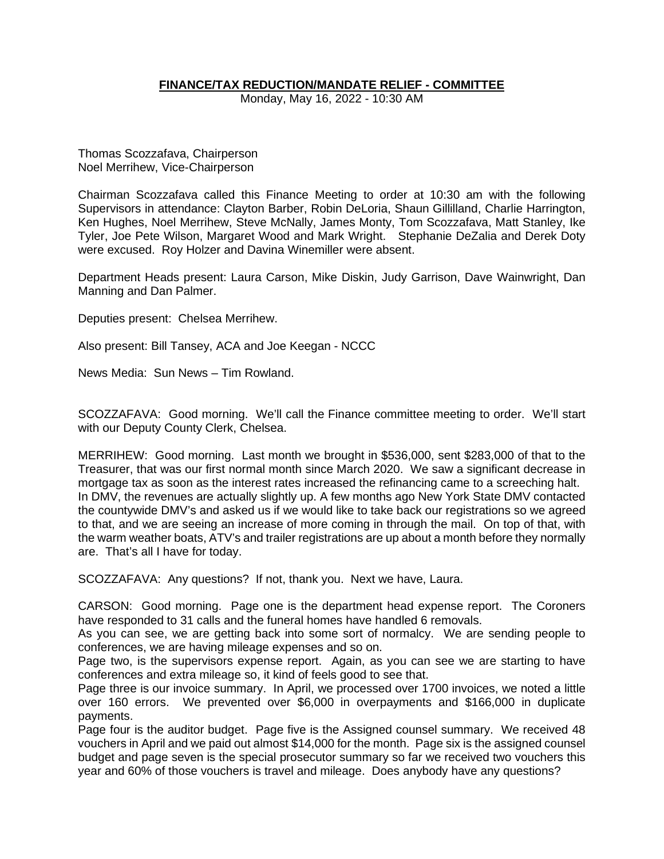## **FINANCE/TAX REDUCTION/MANDATE RELIEF - COMMITTEE**

Monday, May 16, 2022 - 10:30 AM

Thomas Scozzafava, Chairperson Noel Merrihew, Vice-Chairperson

Chairman Scozzafava called this Finance Meeting to order at 10:30 am with the following Supervisors in attendance: Clayton Barber, Robin DeLoria, Shaun Gillilland, Charlie Harrington, Ken Hughes, Noel Merrihew, Steve McNally, James Monty, Tom Scozzafava, Matt Stanley, Ike Tyler, Joe Pete Wilson, Margaret Wood and Mark Wright. Stephanie DeZalia and Derek Doty were excused. Roy Holzer and Davina Winemiller were absent.

Department Heads present: Laura Carson, Mike Diskin, Judy Garrison, Dave Wainwright, Dan Manning and Dan Palmer.

Deputies present: Chelsea Merrihew.

Also present: Bill Tansey, ACA and Joe Keegan - NCCC

News Media: Sun News – Tim Rowland.

SCOZZAFAVA: Good morning. We'll call the Finance committee meeting to order. We'll start with our Deputy County Clerk, Chelsea.

MERRIHEW: Good morning. Last month we brought in \$536,000, sent \$283,000 of that to the Treasurer, that was our first normal month since March 2020. We saw a significant decrease in mortgage tax as soon as the interest rates increased the refinancing came to a screeching halt. In DMV, the revenues are actually slightly up. A few months ago New York State DMV contacted the countywide DMV's and asked us if we would like to take back our registrations so we agreed to that, and we are seeing an increase of more coming in through the mail. On top of that, with the warm weather boats, ATV's and trailer registrations are up about a month before they normally are. That's all I have for today.

SCOZZAFAVA: Any questions? If not, thank you. Next we have, Laura.

CARSON: Good morning. Page one is the department head expense report. The Coroners have responded to 31 calls and the funeral homes have handled 6 removals.

As you can see, we are getting back into some sort of normalcy. We are sending people to conferences, we are having mileage expenses and so on.

Page two, is the supervisors expense report. Again, as you can see we are starting to have conferences and extra mileage so, it kind of feels good to see that.

Page three is our invoice summary. In April, we processed over 1700 invoices, we noted a little over 160 errors. We prevented over \$6,000 in overpayments and \$166,000 in duplicate payments.

Page four is the auditor budget. Page five is the Assigned counsel summary. We received 48 vouchers in April and we paid out almost \$14,000 for the month. Page six is the assigned counsel budget and page seven is the special prosecutor summary so far we received two vouchers this year and 60% of those vouchers is travel and mileage. Does anybody have any questions?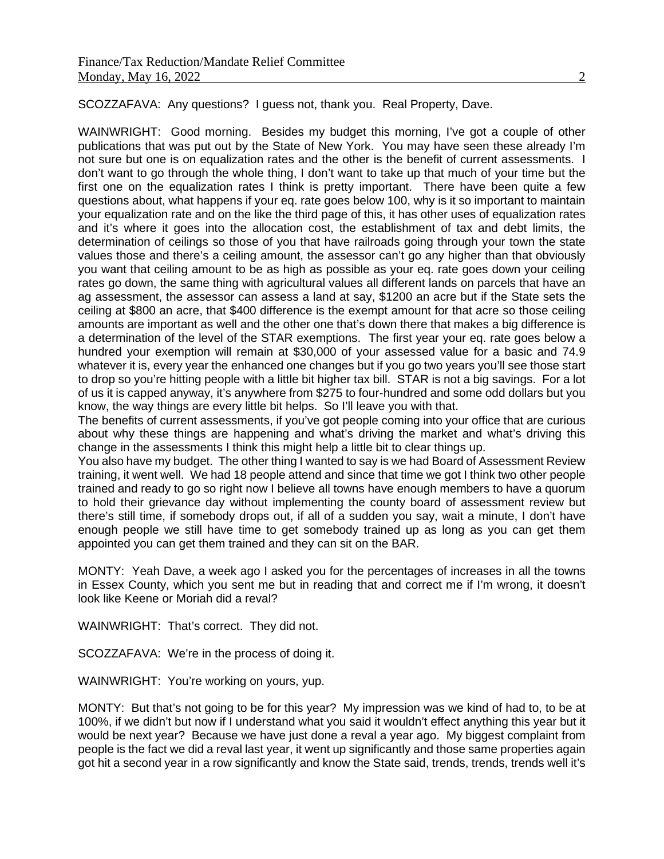SCOZZAFAVA: Any questions? I guess not, thank you. Real Property, Dave.

WAINWRIGHT: Good morning. Besides my budget this morning, I've got a couple of other publications that was put out by the State of New York. You may have seen these already I'm not sure but one is on equalization rates and the other is the benefit of current assessments. I don't want to go through the whole thing, I don't want to take up that much of your time but the first one on the equalization rates I think is pretty important. There have been quite a few questions about, what happens if your eq. rate goes below 100, why is it so important to maintain your equalization rate and on the like the third page of this, it has other uses of equalization rates and it's where it goes into the allocation cost, the establishment of tax and debt limits, the determination of ceilings so those of you that have railroads going through your town the state values those and there's a ceiling amount, the assessor can't go any higher than that obviously you want that ceiling amount to be as high as possible as your eq. rate goes down your ceiling rates go down, the same thing with agricultural values all different lands on parcels that have an ag assessment, the assessor can assess a land at say, \$1200 an acre but if the State sets the ceiling at \$800 an acre, that \$400 difference is the exempt amount for that acre so those ceiling amounts are important as well and the other one that's down there that makes a big difference is a determination of the level of the STAR exemptions. The first year your eq. rate goes below a hundred your exemption will remain at \$30,000 of your assessed value for a basic and 74.9 whatever it is, every year the enhanced one changes but if you go two years you'll see those start to drop so you're hitting people with a little bit higher tax bill. STAR is not a big savings. For a lot of us it is capped anyway, it's anywhere from \$275 to four-hundred and some odd dollars but you know, the way things are every little bit helps. So I'll leave you with that.

The benefits of current assessments, if you've got people coming into your office that are curious about why these things are happening and what's driving the market and what's driving this change in the assessments I think this might help a little bit to clear things up.

You also have my budget. The other thing I wanted to say is we had Board of Assessment Review training, it went well. We had 18 people attend and since that time we got I think two other people trained and ready to go so right now I believe all towns have enough members to have a quorum to hold their grievance day without implementing the county board of assessment review but there's still time, if somebody drops out, if all of a sudden you say, wait a minute, I don't have enough people we still have time to get somebody trained up as long as you can get them appointed you can get them trained and they can sit on the BAR.

MONTY: Yeah Dave, a week ago I asked you for the percentages of increases in all the towns in Essex County, which you sent me but in reading that and correct me if I'm wrong, it doesn't look like Keene or Moriah did a reval?

WAINWRIGHT: That's correct. They did not.

SCOZZAFAVA: We're in the process of doing it.

WAINWRIGHT: You're working on yours, yup.

MONTY: But that's not going to be for this year? My impression was we kind of had to, to be at 100%, if we didn't but now if I understand what you said it wouldn't effect anything this year but it would be next year? Because we have just done a reval a year ago. My biggest complaint from people is the fact we did a reval last year, it went up significantly and those same properties again got hit a second year in a row significantly and know the State said, trends, trends, trends well it's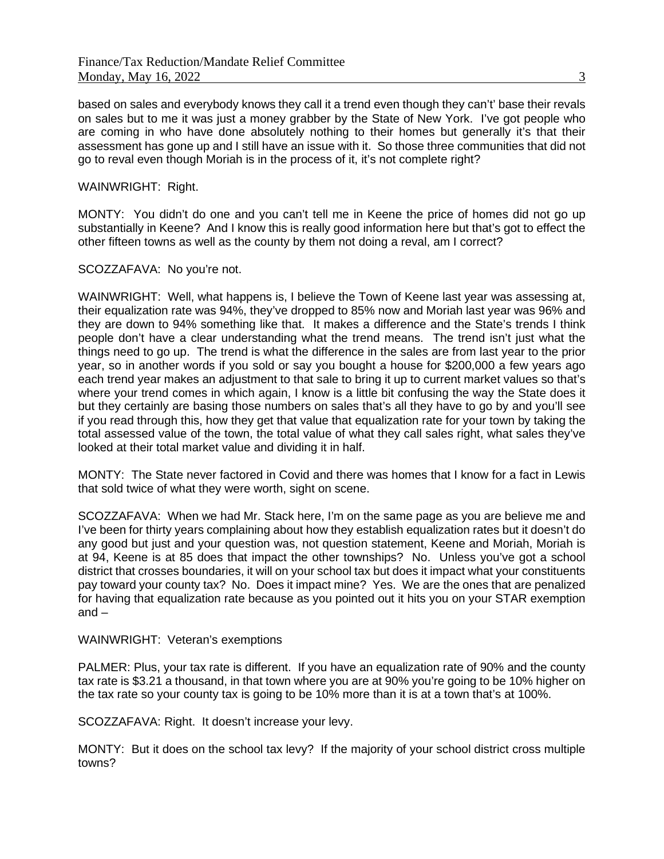based on sales and everybody knows they call it a trend even though they can't' base their revals on sales but to me it was just a money grabber by the State of New York. I've got people who are coming in who have done absolutely nothing to their homes but generally it's that their assessment has gone up and I still have an issue with it. So those three communities that did not go to reval even though Moriah is in the process of it, it's not complete right?

### WAINWRIGHT: Right.

MONTY: You didn't do one and you can't tell me in Keene the price of homes did not go up substantially in Keene? And I know this is really good information here but that's got to effect the other fifteen towns as well as the county by them not doing a reval, am I correct?

#### SCOZZAFAVA: No you're not.

WAINWRIGHT: Well, what happens is, I believe the Town of Keene last year was assessing at, their equalization rate was 94%, they've dropped to 85% now and Moriah last year was 96% and they are down to 94% something like that. It makes a difference and the State's trends I think people don't have a clear understanding what the trend means. The trend isn't just what the things need to go up. The trend is what the difference in the sales are from last year to the prior year, so in another words if you sold or say you bought a house for \$200,000 a few years ago each trend year makes an adjustment to that sale to bring it up to current market values so that's where your trend comes in which again, I know is a little bit confusing the way the State does it but they certainly are basing those numbers on sales that's all they have to go by and you'll see if you read through this, how they get that value that equalization rate for your town by taking the total assessed value of the town, the total value of what they call sales right, what sales they've looked at their total market value and dividing it in half.

MONTY: The State never factored in Covid and there was homes that I know for a fact in Lewis that sold twice of what they were worth, sight on scene.

SCOZZAFAVA: When we had Mr. Stack here, I'm on the same page as you are believe me and I've been for thirty years complaining about how they establish equalization rates but it doesn't do any good but just and your question was, not question statement, Keene and Moriah, Moriah is at 94, Keene is at 85 does that impact the other townships? No. Unless you've got a school district that crosses boundaries, it will on your school tax but does it impact what your constituents pay toward your county tax? No. Does it impact mine? Yes. We are the ones that are penalized for having that equalization rate because as you pointed out it hits you on your STAR exemption and  $-$ 

#### WAINWRIGHT: Veteran's exemptions

PALMER: Plus, your tax rate is different. If you have an equalization rate of 90% and the county tax rate is \$3.21 a thousand, in that town where you are at 90% you're going to be 10% higher on the tax rate so your county tax is going to be 10% more than it is at a town that's at 100%.

SCOZZAFAVA: Right. It doesn't increase your levy.

MONTY: But it does on the school tax levy? If the majority of your school district cross multiple towns?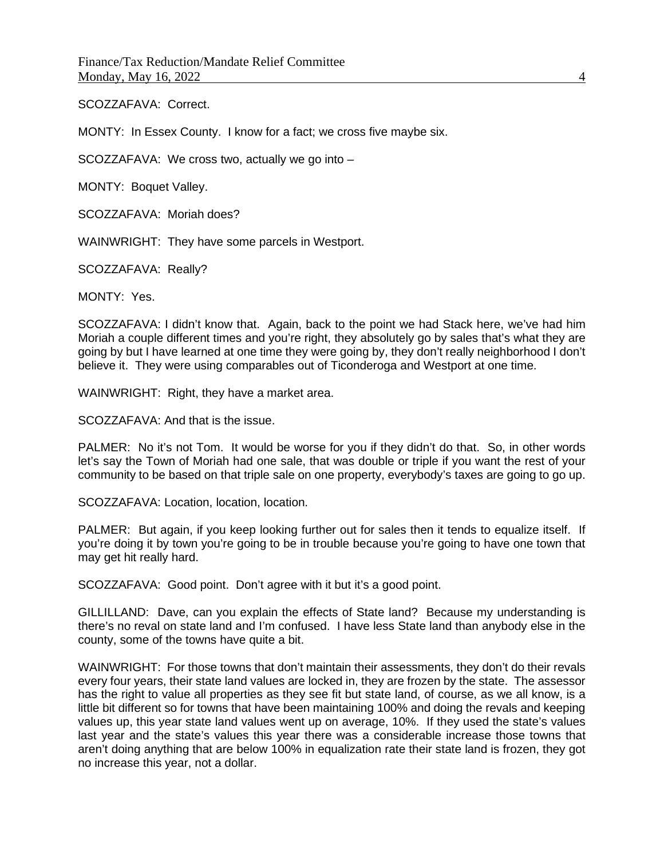SCOZZAFAVA: Correct.

MONTY: In Essex County. I know for a fact; we cross five maybe six.

SCOZZAFAVA: We cross two, actually we go into –

MONTY: Boquet Valley.

SCOZZAFAVA: Moriah does?

WAINWRIGHT: They have some parcels in Westport.

SCOZZAFAVA: Really?

MONTY: Yes.

SCOZZAFAVA: I didn't know that. Again, back to the point we had Stack here, we've had him Moriah a couple different times and you're right, they absolutely go by sales that's what they are going by but I have learned at one time they were going by, they don't really neighborhood I don't believe it. They were using comparables out of Ticonderoga and Westport at one time.

WAINWRIGHT: Right, they have a market area.

SCOZZAFAVA: And that is the issue.

PALMER: No it's not Tom. It would be worse for you if they didn't do that. So, in other words let's say the Town of Moriah had one sale, that was double or triple if you want the rest of your community to be based on that triple sale on one property, everybody's taxes are going to go up.

SCOZZAFAVA: Location, location, location.

PALMER: But again, if you keep looking further out for sales then it tends to equalize itself. If you're doing it by town you're going to be in trouble because you're going to have one town that may get hit really hard.

SCOZZAFAVA: Good point. Don't agree with it but it's a good point.

GILLILLAND: Dave, can you explain the effects of State land? Because my understanding is there's no reval on state land and I'm confused. I have less State land than anybody else in the county, some of the towns have quite a bit.

WAINWRIGHT: For those towns that don't maintain their assessments, they don't do their revals every four years, their state land values are locked in, they are frozen by the state. The assessor has the right to value all properties as they see fit but state land, of course, as we all know, is a little bit different so for towns that have been maintaining 100% and doing the revals and keeping values up, this year state land values went up on average, 10%. If they used the state's values last year and the state's values this year there was a considerable increase those towns that aren't doing anything that are below 100% in equalization rate their state land is frozen, they got no increase this year, not a dollar.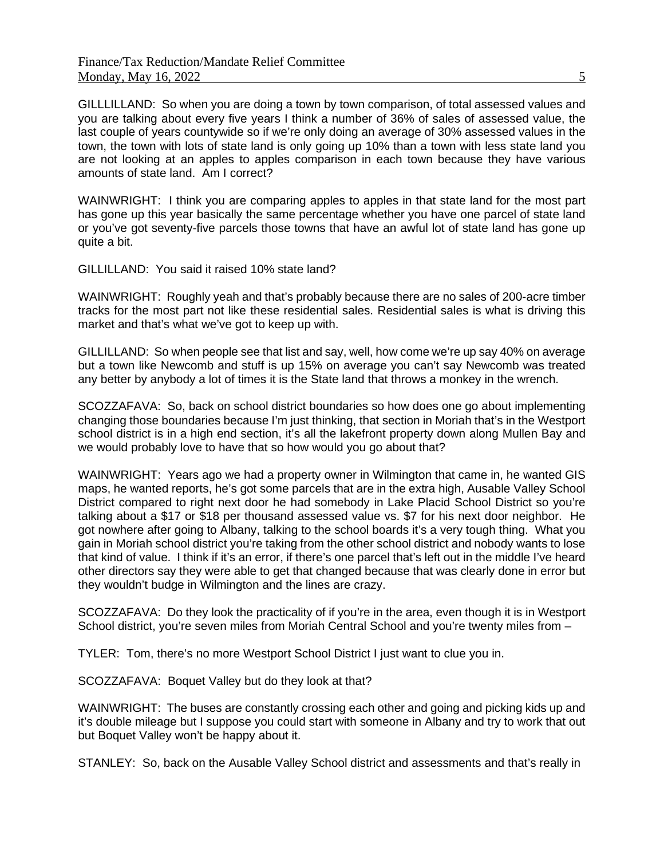GILLLILLAND: So when you are doing a town by town comparison, of total assessed values and you are talking about every five years I think a number of 36% of sales of assessed value, the last couple of years countywide so if we're only doing an average of 30% assessed values in the town, the town with lots of state land is only going up 10% than a town with less state land you are not looking at an apples to apples comparison in each town because they have various amounts of state land. Am I correct?

WAINWRIGHT: I think you are comparing apples to apples in that state land for the most part has gone up this year basically the same percentage whether you have one parcel of state land or you've got seventy-five parcels those towns that have an awful lot of state land has gone up quite a bit.

GILLILLAND: You said it raised 10% state land?

WAINWRIGHT: Roughly yeah and that's probably because there are no sales of 200-acre timber tracks for the most part not like these residential sales. Residential sales is what is driving this market and that's what we've got to keep up with.

GILLILLAND: So when people see that list and say, well, how come we're up say 40% on average but a town like Newcomb and stuff is up 15% on average you can't say Newcomb was treated any better by anybody a lot of times it is the State land that throws a monkey in the wrench.

SCOZZAFAVA: So, back on school district boundaries so how does one go about implementing changing those boundaries because I'm just thinking, that section in Moriah that's in the Westport school district is in a high end section, it's all the lakefront property down along Mullen Bay and we would probably love to have that so how would you go about that?

WAINWRIGHT: Years ago we had a property owner in Wilmington that came in, he wanted GIS maps, he wanted reports, he's got some parcels that are in the extra high, Ausable Valley School District compared to right next door he had somebody in Lake Placid School District so you're talking about a \$17 or \$18 per thousand assessed value vs. \$7 for his next door neighbor. He got nowhere after going to Albany, talking to the school boards it's a very tough thing. What you gain in Moriah school district you're taking from the other school district and nobody wants to lose that kind of value. I think if it's an error, if there's one parcel that's left out in the middle I've heard other directors say they were able to get that changed because that was clearly done in error but they wouldn't budge in Wilmington and the lines are crazy.

SCOZZAFAVA: Do they look the practicality of if you're in the area, even though it is in Westport School district, you're seven miles from Moriah Central School and you're twenty miles from -

TYLER: Tom, there's no more Westport School District I just want to clue you in.

SCOZZAFAVA: Boquet Valley but do they look at that?

WAINWRIGHT: The buses are constantly crossing each other and going and picking kids up and it's double mileage but I suppose you could start with someone in Albany and try to work that out but Boquet Valley won't be happy about it.

STANLEY: So, back on the Ausable Valley School district and assessments and that's really in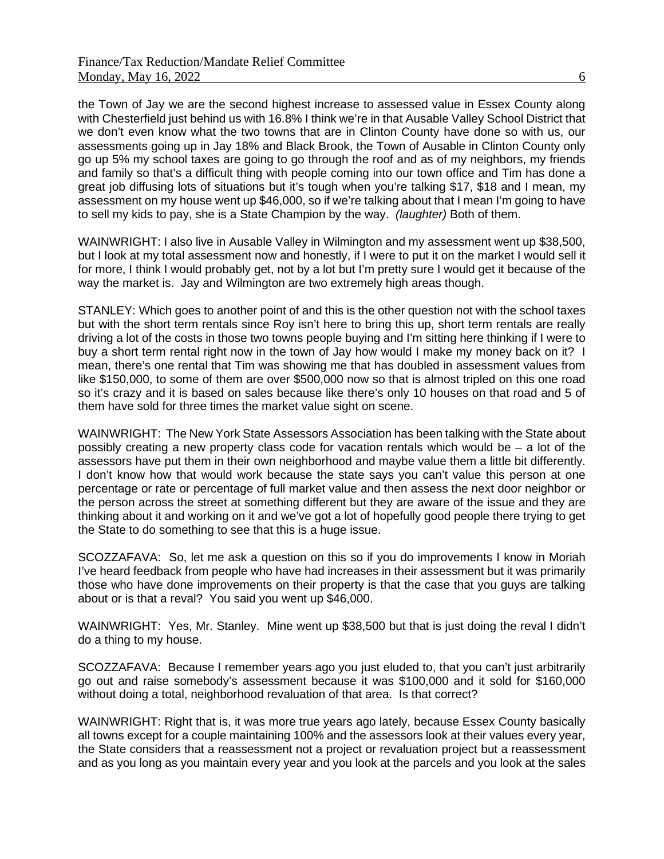the Town of Jay we are the second highest increase to assessed value in Essex County along with Chesterfield just behind us with 16.8% I think we're in that Ausable Valley School District that we don't even know what the two towns that are in Clinton County have done so with us, our assessments going up in Jay 18% and Black Brook, the Town of Ausable in Clinton County only go up 5% my school taxes are going to go through the roof and as of my neighbors, my friends and family so that's a difficult thing with people coming into our town office and Tim has done a great job diffusing lots of situations but it's tough when you're talking \$17, \$18 and I mean, my assessment on my house went up \$46,000, so if we're talking about that I mean I'm going to have to sell my kids to pay, she is a State Champion by the way. *(laughter)* Both of them.

WAINWRIGHT: I also live in Ausable Valley in Wilmington and my assessment went up \$38,500, but I look at my total assessment now and honestly, if I were to put it on the market I would sell it for more, I think I would probably get, not by a lot but I'm pretty sure I would get it because of the way the market is. Jay and Wilmington are two extremely high areas though.

STANLEY: Which goes to another point of and this is the other question not with the school taxes but with the short term rentals since Roy isn't here to bring this up, short term rentals are really driving a lot of the costs in those two towns people buying and I'm sitting here thinking if I were to buy a short term rental right now in the town of Jay how would I make my money back on it? I mean, there's one rental that Tim was showing me that has doubled in assessment values from like \$150,000, to some of them are over \$500,000 now so that is almost tripled on this one road so it's crazy and it is based on sales because like there's only 10 houses on that road and 5 of them have sold for three times the market value sight on scene.

WAINWRIGHT: The New York State Assessors Association has been talking with the State about possibly creating a new property class code for vacation rentals which would be – a lot of the assessors have put them in their own neighborhood and maybe value them a little bit differently. I don't know how that would work because the state says you can't value this person at one percentage or rate or percentage of full market value and then assess the next door neighbor or the person across the street at something different but they are aware of the issue and they are thinking about it and working on it and we've got a lot of hopefully good people there trying to get the State to do something to see that this is a huge issue.

SCOZZAFAVA: So, let me ask a question on this so if you do improvements I know in Moriah I've heard feedback from people who have had increases in their assessment but it was primarily those who have done improvements on their property is that the case that you guys are talking about or is that a reval? You said you went up \$46,000.

WAINWRIGHT: Yes, Mr. Stanley. Mine went up \$38,500 but that is just doing the reval I didn't do a thing to my house.

SCOZZAFAVA: Because I remember years ago you just eluded to, that you can't just arbitrarily go out and raise somebody's assessment because it was \$100,000 and it sold for \$160,000 without doing a total, neighborhood revaluation of that area. Is that correct?

WAINWRIGHT: Right that is, it was more true years ago lately, because Essex County basically all towns except for a couple maintaining 100% and the assessors look at their values every year, the State considers that a reassessment not a project or revaluation project but a reassessment and as you long as you maintain every year and you look at the parcels and you look at the sales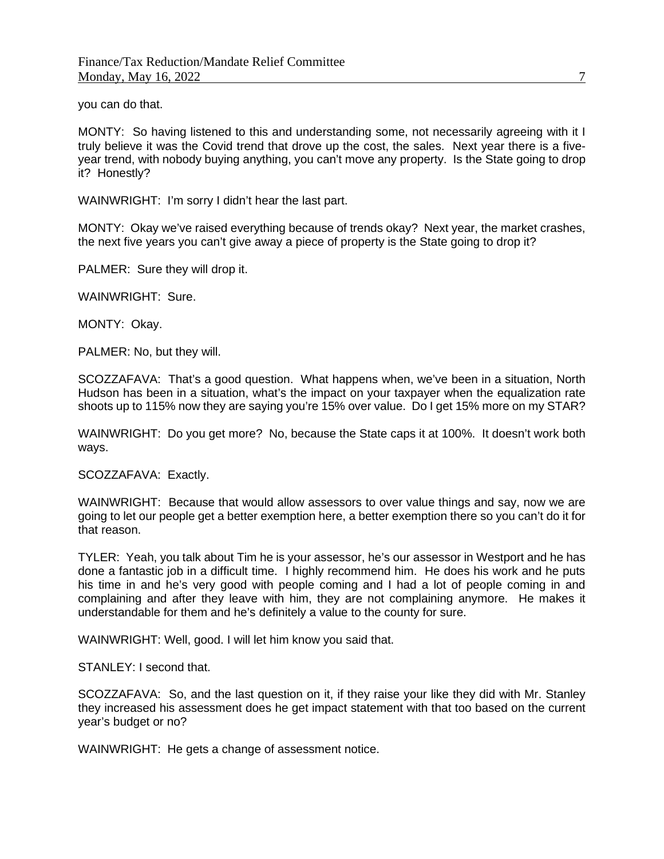you can do that.

MONTY: So having listened to this and understanding some, not necessarily agreeing with it I truly believe it was the Covid trend that drove up the cost, the sales. Next year there is a fiveyear trend, with nobody buying anything, you can't move any property. Is the State going to drop it? Honestly?

WAINWRIGHT: I'm sorry I didn't hear the last part.

MONTY: Okay we've raised everything because of trends okay? Next year, the market crashes, the next five years you can't give away a piece of property is the State going to drop it?

PALMER: Sure they will drop it.

WAINWRIGHT: Sure.

MONTY: Okay.

PALMER: No, but they will.

SCOZZAFAVA: That's a good question. What happens when, we've been in a situation, North Hudson has been in a situation, what's the impact on your taxpayer when the equalization rate shoots up to 115% now they are saying you're 15% over value. Do I get 15% more on my STAR?

WAINWRIGHT: Do you get more? No, because the State caps it at 100%. It doesn't work both ways.

SCOZZAFAVA: Exactly.

WAINWRIGHT: Because that would allow assessors to over value things and say, now we are going to let our people get a better exemption here, a better exemption there so you can't do it for that reason.

TYLER: Yeah, you talk about Tim he is your assessor, he's our assessor in Westport and he has done a fantastic job in a difficult time. I highly recommend him. He does his work and he puts his time in and he's very good with people coming and I had a lot of people coming in and complaining and after they leave with him, they are not complaining anymore. He makes it understandable for them and he's definitely a value to the county for sure.

WAINWRIGHT: Well, good. I will let him know you said that.

STANLEY: I second that.

SCOZZAFAVA: So, and the last question on it, if they raise your like they did with Mr. Stanley they increased his assessment does he get impact statement with that too based on the current year's budget or no?

WAINWRIGHT: He gets a change of assessment notice.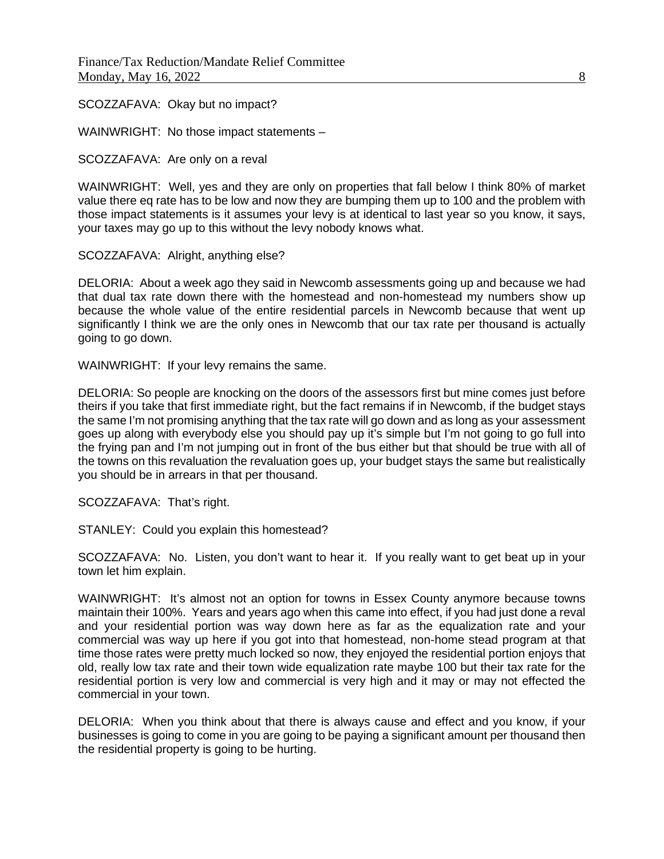SCOZZAFAVA: Okay but no impact?

WAINWRIGHT: No those impact statements –

SCOZZAFAVA: Are only on a reval

WAINWRIGHT: Well, yes and they are only on properties that fall below I think 80% of market value there eq rate has to be low and now they are bumping them up to 100 and the problem with those impact statements is it assumes your levy is at identical to last year so you know, it says, your taxes may go up to this without the levy nobody knows what.

SCOZZAFAVA: Alright, anything else?

DELORIA: About a week ago they said in Newcomb assessments going up and because we had that dual tax rate down there with the homestead and non-homestead my numbers show up because the whole value of the entire residential parcels in Newcomb because that went up significantly I think we are the only ones in Newcomb that our tax rate per thousand is actually going to go down.

WAINWRIGHT: If your levy remains the same.

DELORIA: So people are knocking on the doors of the assessors first but mine comes just before theirs if you take that first immediate right, but the fact remains if in Newcomb, if the budget stays the same I'm not promising anything that the tax rate will go down and as long as your assessment goes up along with everybody else you should pay up it's simple but I'm not going to go full into the frying pan and I'm not jumping out in front of the bus either but that should be true with all of the towns on this revaluation the revaluation goes up, your budget stays the same but realistically you should be in arrears in that per thousand.

SCOZZAFAVA: That's right.

STANLEY: Could you explain this homestead?

SCOZZAFAVA: No. Listen, you don't want to hear it. If you really want to get beat up in your town let him explain.

WAINWRIGHT: It's almost not an option for towns in Essex County anymore because towns maintain their 100%. Years and years ago when this came into effect, if you had just done a reval and your residential portion was way down here as far as the equalization rate and your commercial was way up here if you got into that homestead, non-home stead program at that time those rates were pretty much locked so now, they enjoyed the residential portion enjoys that old, really low tax rate and their town wide equalization rate maybe 100 but their tax rate for the residential portion is very low and commercial is very high and it may or may not effected the commercial in your town.

DELORIA: When you think about that there is always cause and effect and you know, if your businesses is going to come in you are going to be paying a significant amount per thousand then the residential property is going to be hurting.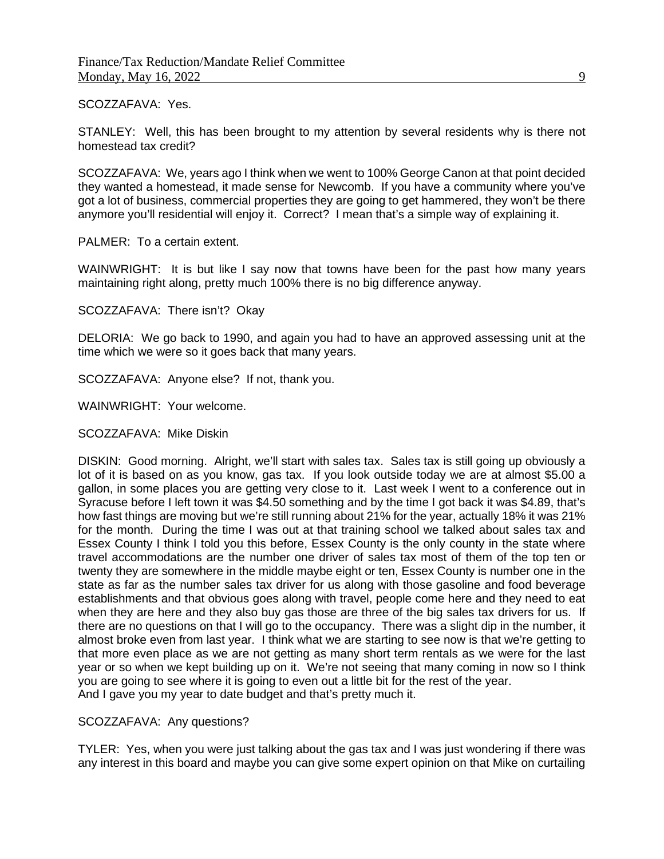#### SCOZZAFAVA: Yes.

STANLEY: Well, this has been brought to my attention by several residents why is there not homestead tax credit?

SCOZZAFAVA: We, years ago I think when we went to 100% George Canon at that point decided they wanted a homestead, it made sense for Newcomb. If you have a community where you've got a lot of business, commercial properties they are going to get hammered, they won't be there anymore you'll residential will enjoy it. Correct? I mean that's a simple way of explaining it.

PALMER: To a certain extent.

WAINWRIGHT: It is but like I say now that towns have been for the past how many years maintaining right along, pretty much 100% there is no big difference anyway.

SCOZZAFAVA: There isn't? Okay

DELORIA: We go back to 1990, and again you had to have an approved assessing unit at the time which we were so it goes back that many years.

SCOZZAFAVA: Anyone else? If not, thank you.

WAINWRIGHT: Your welcome.

SCOZZAFAVA: Mike Diskin

DISKIN: Good morning. Alright, we'll start with sales tax. Sales tax is still going up obviously a lot of it is based on as you know, gas tax. If you look outside today we are at almost \$5.00 a gallon, in some places you are getting very close to it. Last week I went to a conference out in Syracuse before I left town it was \$4.50 something and by the time I got back it was \$4.89, that's how fast things are moving but we're still running about 21% for the year, actually 18% it was 21% for the month. During the time I was out at that training school we talked about sales tax and Essex County I think I told you this before, Essex County is the only county in the state where travel accommodations are the number one driver of sales tax most of them of the top ten or twenty they are somewhere in the middle maybe eight or ten, Essex County is number one in the state as far as the number sales tax driver for us along with those gasoline and food beverage establishments and that obvious goes along with travel, people come here and they need to eat when they are here and they also buy gas those are three of the big sales tax drivers for us. If there are no questions on that I will go to the occupancy. There was a slight dip in the number, it almost broke even from last year. I think what we are starting to see now is that we're getting to that more even place as we are not getting as many short term rentals as we were for the last year or so when we kept building up on it. We're not seeing that many coming in now so I think you are going to see where it is going to even out a little bit for the rest of the year. And I gave you my year to date budget and that's pretty much it.

SCOZZAFAVA: Any questions?

TYLER: Yes, when you were just talking about the gas tax and I was just wondering if there was any interest in this board and maybe you can give some expert opinion on that Mike on curtailing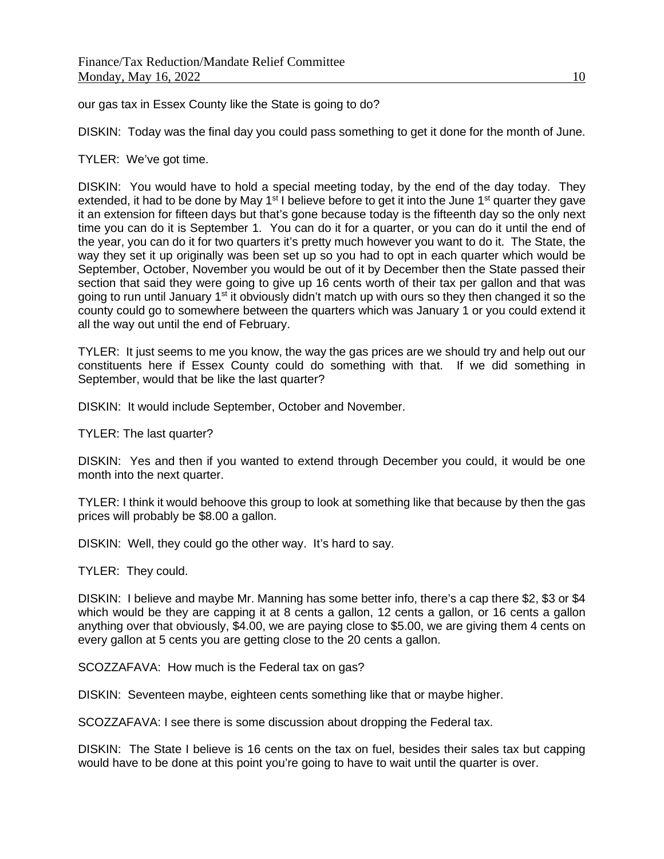our gas tax in Essex County like the State is going to do?

DISKIN: Today was the final day you could pass something to get it done for the month of June.

TYLER: We've got time.

DISKIN: You would have to hold a special meeting today, by the end of the day today. They extended, it had to be done by May 1<sup>st</sup> I believe before to get it into the June 1<sup>st</sup> quarter they gave it an extension for fifteen days but that's gone because today is the fifteenth day so the only next time you can do it is September 1. You can do it for a quarter, or you can do it until the end of the year, you can do it for two quarters it's pretty much however you want to do it. The State, the way they set it up originally was been set up so you had to opt in each quarter which would be September, October, November you would be out of it by December then the State passed their section that said they were going to give up 16 cents worth of their tax per gallon and that was going to run until January 1<sup>st</sup> it obviously didn't match up with ours so they then changed it so the county could go to somewhere between the quarters which was January 1 or you could extend it all the way out until the end of February.

TYLER: It just seems to me you know, the way the gas prices are we should try and help out our constituents here if Essex County could do something with that. If we did something in September, would that be like the last quarter?

DISKIN: It would include September, October and November.

TYLER: The last quarter?

DISKIN: Yes and then if you wanted to extend through December you could, it would be one month into the next quarter.

TYLER: I think it would behoove this group to look at something like that because by then the gas prices will probably be \$8.00 a gallon.

DISKIN: Well, they could go the other way. It's hard to say.

TYLER: They could.

DISKIN: I believe and maybe Mr. Manning has some better info, there's a cap there \$2, \$3 or \$4 which would be they are capping it at 8 cents a gallon, 12 cents a gallon, or 16 cents a gallon anything over that obviously, \$4.00, we are paying close to \$5.00, we are giving them 4 cents on every gallon at 5 cents you are getting close to the 20 cents a gallon.

SCOZZAFAVA: How much is the Federal tax on gas?

DISKIN: Seventeen maybe, eighteen cents something like that or maybe higher.

SCOZZAFAVA: I see there is some discussion about dropping the Federal tax.

DISKIN: The State I believe is 16 cents on the tax on fuel, besides their sales tax but capping would have to be done at this point you're going to have to wait until the quarter is over.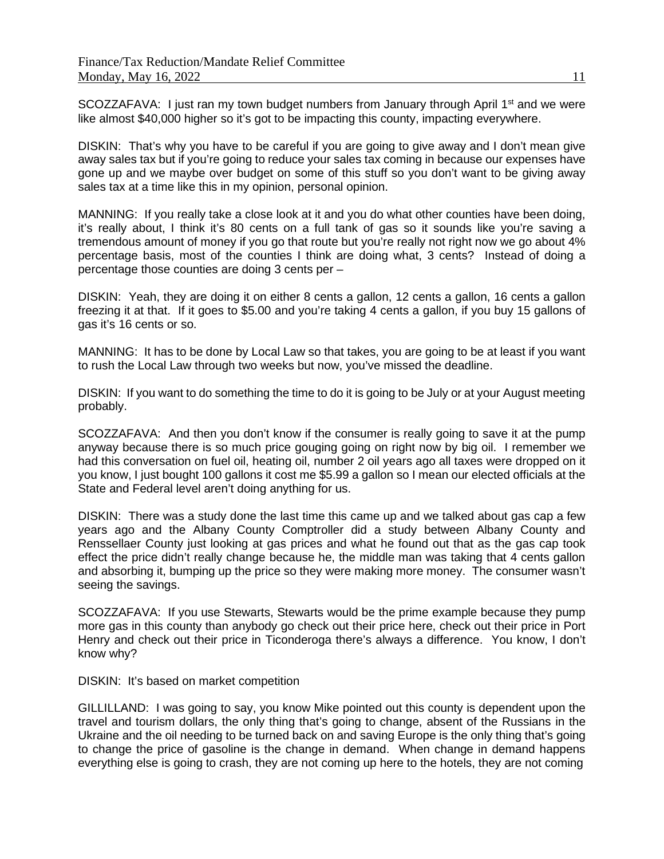SCOZZAFAVA: I just ran my town budget numbers from January through April 1<sup>st</sup> and we were like almost \$40,000 higher so it's got to be impacting this county, impacting everywhere.

DISKIN: That's why you have to be careful if you are going to give away and I don't mean give away sales tax but if you're going to reduce your sales tax coming in because our expenses have gone up and we maybe over budget on some of this stuff so you don't want to be giving away sales tax at a time like this in my opinion, personal opinion.

MANNING: If you really take a close look at it and you do what other counties have been doing, it's really about, I think it's 80 cents on a full tank of gas so it sounds like you're saving a tremendous amount of money if you go that route but you're really not right now we go about 4% percentage basis, most of the counties I think are doing what, 3 cents? Instead of doing a percentage those counties are doing 3 cents per –

DISKIN: Yeah, they are doing it on either 8 cents a gallon, 12 cents a gallon, 16 cents a gallon freezing it at that. If it goes to \$5.00 and you're taking 4 cents a gallon, if you buy 15 gallons of gas it's 16 cents or so.

MANNING: It has to be done by Local Law so that takes, you are going to be at least if you want to rush the Local Law through two weeks but now, you've missed the deadline.

DISKIN: If you want to do something the time to do it is going to be July or at your August meeting probably.

SCOZZAFAVA: And then you don't know if the consumer is really going to save it at the pump anyway because there is so much price gouging going on right now by big oil. I remember we had this conversation on fuel oil, heating oil, number 2 oil years ago all taxes were dropped on it you know, I just bought 100 gallons it cost me \$5.99 a gallon so I mean our elected officials at the State and Federal level aren't doing anything for us.

DISKIN: There was a study done the last time this came up and we talked about gas cap a few years ago and the Albany County Comptroller did a study between Albany County and Renssellaer County just looking at gas prices and what he found out that as the gas cap took effect the price didn't really change because he, the middle man was taking that 4 cents gallon and absorbing it, bumping up the price so they were making more money. The consumer wasn't seeing the savings.

SCOZZAFAVA: If you use Stewarts, Stewarts would be the prime example because they pump more gas in this county than anybody go check out their price here, check out their price in Port Henry and check out their price in Ticonderoga there's always a difference. You know, I don't know why?

DISKIN: It's based on market competition

GILLILLAND: I was going to say, you know Mike pointed out this county is dependent upon the travel and tourism dollars, the only thing that's going to change, absent of the Russians in the Ukraine and the oil needing to be turned back on and saving Europe is the only thing that's going to change the price of gasoline is the change in demand. When change in demand happens everything else is going to crash, they are not coming up here to the hotels, they are not coming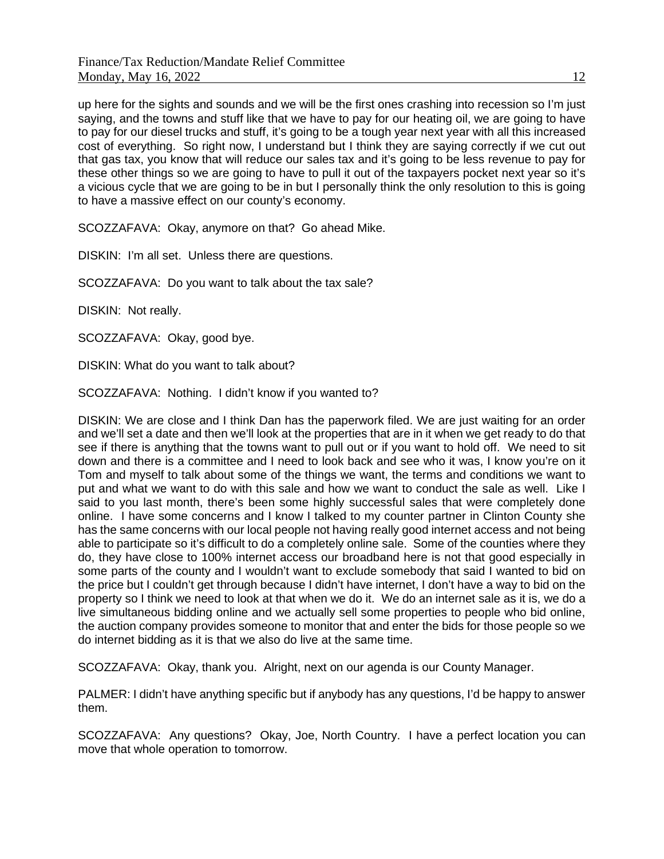up here for the sights and sounds and we will be the first ones crashing into recession so I'm just saying, and the towns and stuff like that we have to pay for our heating oil, we are going to have to pay for our diesel trucks and stuff, it's going to be a tough year next year with all this increased cost of everything. So right now, I understand but I think they are saying correctly if we cut out that gas tax, you know that will reduce our sales tax and it's going to be less revenue to pay for these other things so we are going to have to pull it out of the taxpayers pocket next year so it's a vicious cycle that we are going to be in but I personally think the only resolution to this is going to have a massive effect on our county's economy.

SCOZZAFAVA: Okay, anymore on that? Go ahead Mike.

DISKIN: I'm all set. Unless there are questions.

SCOZZAFAVA: Do you want to talk about the tax sale?

DISKIN: Not really.

SCOZZAFAVA: Okay, good bye.

DISKIN: What do you want to talk about?

SCOZZAFAVA: Nothing. I didn't know if you wanted to?

DISKIN: We are close and I think Dan has the paperwork filed. We are just waiting for an order and we'll set a date and then we'll look at the properties that are in it when we get ready to do that see if there is anything that the towns want to pull out or if you want to hold off. We need to sit down and there is a committee and I need to look back and see who it was, I know you're on it Tom and myself to talk about some of the things we want, the terms and conditions we want to put and what we want to do with this sale and how we want to conduct the sale as well. Like I said to you last month, there's been some highly successful sales that were completely done online. I have some concerns and I know I talked to my counter partner in Clinton County she has the same concerns with our local people not having really good internet access and not being able to participate so it's difficult to do a completely online sale. Some of the counties where they do, they have close to 100% internet access our broadband here is not that good especially in some parts of the county and I wouldn't want to exclude somebody that said I wanted to bid on the price but I couldn't get through because I didn't have internet, I don't have a way to bid on the property so I think we need to look at that when we do it. We do an internet sale as it is, we do a live simultaneous bidding online and we actually sell some properties to people who bid online, the auction company provides someone to monitor that and enter the bids for those people so we do internet bidding as it is that we also do live at the same time.

SCOZZAFAVA: Okay, thank you. Alright, next on our agenda is our County Manager.

PALMER: I didn't have anything specific but if anybody has any questions, I'd be happy to answer them.

SCOZZAFAVA: Any questions? Okay, Joe, North Country. I have a perfect location you can move that whole operation to tomorrow.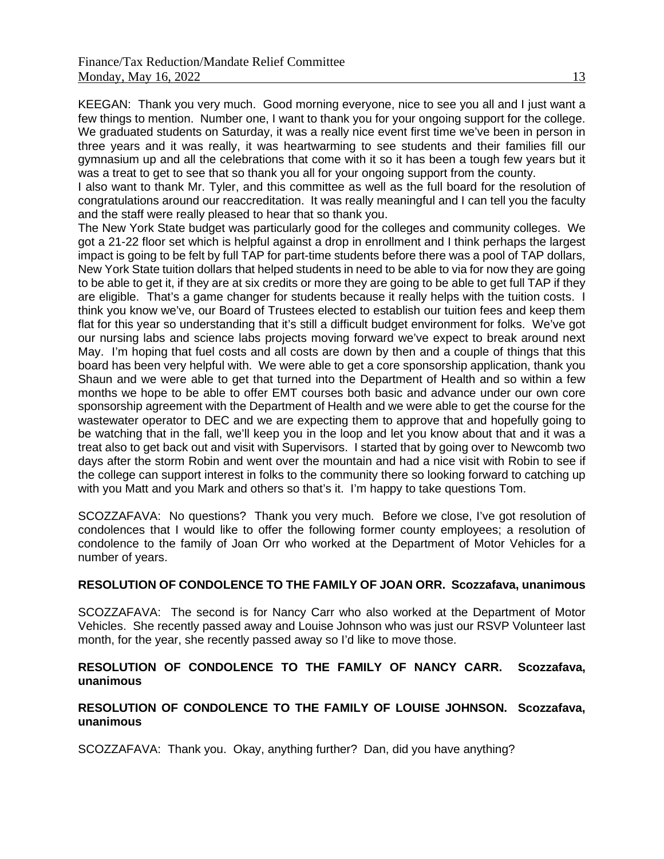KEEGAN: Thank you very much. Good morning everyone, nice to see you all and I just want a few things to mention. Number one, I want to thank you for your ongoing support for the college. We graduated students on Saturday, it was a really nice event first time we've been in person in three years and it was really, it was heartwarming to see students and their families fill our gymnasium up and all the celebrations that come with it so it has been a tough few years but it was a treat to get to see that so thank you all for your ongoing support from the county.

I also want to thank Mr. Tyler, and this committee as well as the full board for the resolution of congratulations around our reaccreditation. It was really meaningful and I can tell you the faculty and the staff were really pleased to hear that so thank you.

The New York State budget was particularly good for the colleges and community colleges. We got a 21-22 floor set which is helpful against a drop in enrollment and I think perhaps the largest impact is going to be felt by full TAP for part-time students before there was a pool of TAP dollars, New York State tuition dollars that helped students in need to be able to via for now they are going to be able to get it, if they are at six credits or more they are going to be able to get full TAP if they are eligible. That's a game changer for students because it really helps with the tuition costs. I think you know we've, our Board of Trustees elected to establish our tuition fees and keep them flat for this year so understanding that it's still a difficult budget environment for folks. We've got our nursing labs and science labs projects moving forward we've expect to break around next May. I'm hoping that fuel costs and all costs are down by then and a couple of things that this board has been very helpful with. We were able to get a core sponsorship application, thank you Shaun and we were able to get that turned into the Department of Health and so within a few months we hope to be able to offer EMT courses both basic and advance under our own core sponsorship agreement with the Department of Health and we were able to get the course for the wastewater operator to DEC and we are expecting them to approve that and hopefully going to be watching that in the fall, we'll keep you in the loop and let you know about that and it was a treat also to get back out and visit with Supervisors. I started that by going over to Newcomb two days after the storm Robin and went over the mountain and had a nice visit with Robin to see if the college can support interest in folks to the community there so looking forward to catching up with you Matt and you Mark and others so that's it. I'm happy to take questions Tom.

SCOZZAFAVA: No questions? Thank you very much. Before we close, I've got resolution of condolences that I would like to offer the following former county employees; a resolution of condolence to the family of Joan Orr who worked at the Department of Motor Vehicles for a number of years.

# **RESOLUTION OF CONDOLENCE TO THE FAMILY OF JOAN ORR. Scozzafava, unanimous**

SCOZZAFAVA: The second is for Nancy Carr who also worked at the Department of Motor Vehicles. She recently passed away and Louise Johnson who was just our RSVP Volunteer last month, for the year, she recently passed away so I'd like to move those.

### **RESOLUTION OF CONDOLENCE TO THE FAMILY OF NANCY CARR. Scozzafava, unanimous**

### **RESOLUTION OF CONDOLENCE TO THE FAMILY OF LOUISE JOHNSON. Scozzafava, unanimous**

SCOZZAFAVA: Thank you. Okay, anything further? Dan, did you have anything?